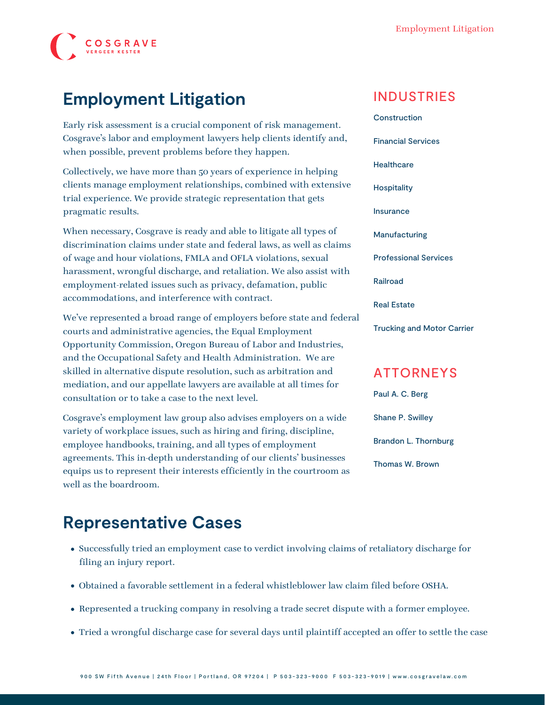

### **Employment Litigation**

Early risk assessment is a crucial component of risk management. Cosgrave's labor and employment lawyers help clients identify and, when possible, prevent problems before they happen.

Collectively, we have more than 50 years of experience in helping clients manage employment relationships, combined with extensive trial experience. We provide strategic representation that gets pragmatic results.

When necessary, Cosgrave is ready and able to litigate all types of discrimination claims under state and federal laws, as well as claims of wage and hour violations, FMLA and OFLA violations, sexual harassment, wrongful discharge, and retaliation. We also assist with employment-related issues such as privacy, defamation, public accommodations, and interference with contract.

We've represented a broad range of employers before state and federal courts and administrative agencies, the Equal Employment Opportunity Commission, Oregon Bureau of Labor and Industries, and the Occupational Safety and Health Administration. We are skilled in alternative dispute resolution, such as [arbitration and](https://www.cosgravelaw.com/practice/arbitration-mediation) [mediation,](https://www.cosgravelaw.com/practice/arbitration-mediation) and our [appellate](https://www.cosgravelaw.com/practice/appellate) lawyers are available at all times for consultation or to take a case to the next level.

Cosgrave's employment law group also advises employers on a wide variety of workplace issues, such as hiring and firing, discipline, employee handbooks, training, and all types of employment agreements. This in-depth understanding of our clients' businesses equips us to represent their interests efficiently in the courtroom as well as the boardroom.

#### **[Construction](https://www.cosgravelaw.com/construction/)**

INDUSTRIES

[Financial Services](https://www.cosgravelaw.com/banking-financial-services-defense-attorneys/) **[Healthcare](https://www.cosgravelaw.com/healthcare/) [Hospitality](https://www.cosgravelaw.com/hospitality/)** [Insurance](https://www.cosgravelaw.com/insurance/) [Manufacturing](https://www.cosgravelaw.com/manufacturing/) [Professional Services](https://www.cosgravelaw.com/professional-services/) [Railroad](https://www.cosgravelaw.com/railroad/) [Real Estate](https://www.cosgravelaw.com/real-estate/) [Trucking and Motor Carrier](https://www.cosgravelaw.com/trucking-defense-attorneys/)

#### ATTORNEYS

[Paul A. C. Berg](https://www.cosgravelaw.com/paul-berg-insurance-coverage/) [Shane P. Swilley](https://www.cosgravelaw.com/shane-swilley-employment-law/) [Brandon L. Thornburg](https://www.cosgravelaw.com/brandon-thornburg-transportation-litigation/) [Thomas W. Brown](https://www.cosgravelaw.com/thomas-w-brown/)

# **Representative Cases**

- Successfully tried an employment case to verdict involving claims of retaliatory discharge for filing an injury report.
- Obtained a favorable settlement in a federal whistleblower law claim filed before OSHA.
- Represented a trucking company in resolving a trade secret dispute with a former employee.
- Tried a wrongful discharge case for several days until plaintiff accepted an offer to settle the case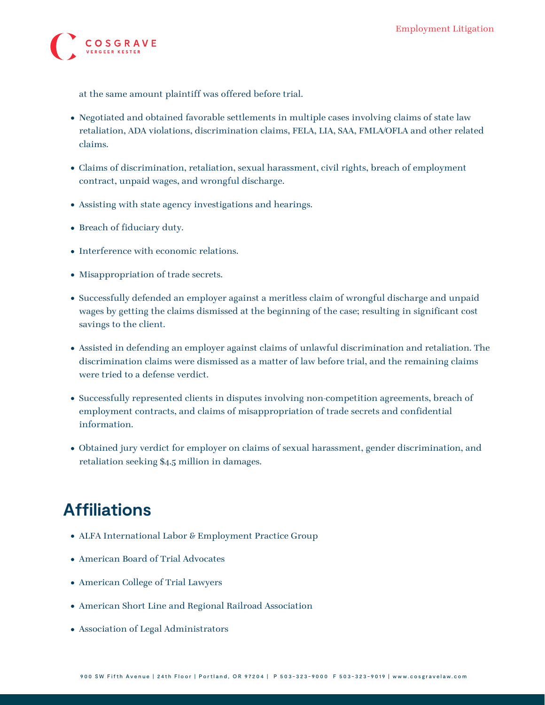

at the same amount plaintiff was offered before trial.

- Negotiated and obtained favorable settlements in multiple cases involving claims of state law retaliation, ADA violations, discrimination claims, FELA, LIA, SAA, FMLA/OFLA and other related claims.
- Claims of discrimination, retaliation, sexual harassment, civil rights, breach of employment contract, unpaid wages, and wrongful discharge.
- Assisting with state agency investigations and hearings.
- Breach of fiduciary duty.
- Interference with economic relations.
- Misappropriation of trade secrets.
- Successfully defended an employer against a meritless claim of wrongful discharge and unpaid wages by getting the claims dismissed at the beginning of the case; resulting in significant cost savings to the client.
- Assisted in defending an employer against claims of unlawful discrimination and retaliation. The discrimination claims were dismissed as a matter of law before trial, and the remaining claims were tried to a defense verdict.
- Successfully represented clients in disputes involving non-competition agreements, breach of employment contracts, and claims of misappropriation of trade secrets and confidential information.
- Obtained jury verdict for employer on claims of sexual harassment, gender discrimination, and retaliation seeking \$4.5 million in damages.

# **Affiliations**

- ALFA International Labor & Employment Practice Group
- American Board of Trial Advocates
- American College of Trial Lawyers
- American Short Line and Regional Railroad Association
- Association of Legal Administrators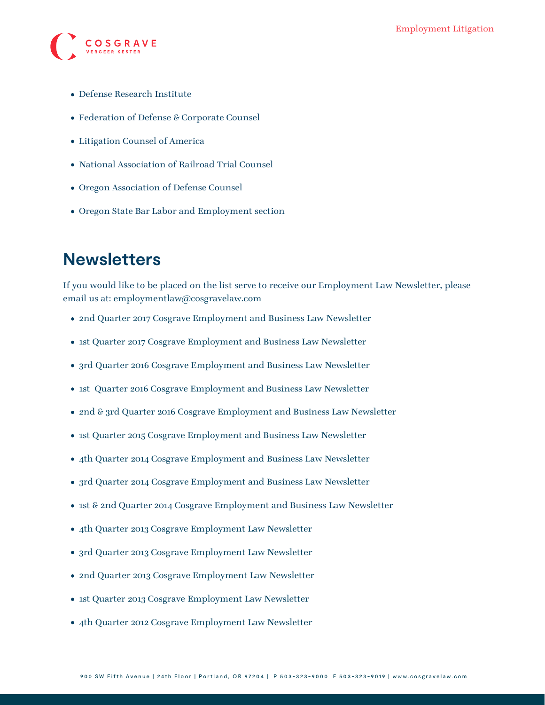

- Defense Research Institute
- Federation of Defense & Corporate Counsel
- Litigation Counsel of America
- National Association of Railroad Trial Counsel
- Oregon Association of Defense Counsel
- Oregon State Bar Labor and Employment section

#### **Newsletters**

If you would like to be placed on the list serve to receive our Employment Law Newsletter, please email us at: [employmentlaw@cosgravelaw.com](mailto:employmentlaw@cosgravelaw.com)

- [2nd Quarter 2017 Cosgrave Employment and Business Law Newsletter](https://www.cosgravelaw.com/wp-content/uploads/2015/03/2nd-Quarter-2017-Cosgrave-Employment-and-Business-Law-Newsletter.pdf)
- [1st Quarter 2017 Cosgrave Employment and Business Law Newsletter](https://www.cosgravelaw.com/wp-content/uploads/2015/03/1st-Quarter-2017-Cosgrave-Employment-and-Business-Law-Newsletter.pdf)
- [3rd Quarter 2016 Cosgrave Employment and Business Law Newsletter](https://www.cosgravelaw.com/wp-content/uploads/2015/03/August-2016-Cosgrave-Employment-and-Business-Law-Newsletter.pdf)
- [1st Quarter 2016 Cosgrave Employment and Business Law Newsletter](https://www.cosgravelaw.com/wp-content/uploads/2016/03/1st-Quarter-2016-Cosgrave-Employment-and-Business-Law-Newsletter.pdf)
- [2nd & 3rd Quarter 2016 Cosgrave Employment and Business Law Newsletter](https://www.cosgravelaw.com/wp-content/uploads/2015/03/2nd-3rd-Quarter-Cosgrave-Employment-and-Business-Law-Newsletter1.pdf)
- [1st Quarter 2015 Cosgrave Employment and Business Law Newsletter](https://www.cosgravelaw.com/wp-content/uploads/2015/03/1st-Quarter-Cosgrave-Employment-and-Business-Law-Newsletter.pdf)
- [4th Quarter 2014 Cosgrave Employment and Business Law Newsletter](https://www.cosgravelaw.com/wp-content/uploads/2015/03/4th-Quarter-2014-Cosgrave-Employment-and-Business-Law-Newsletter.pdf)
- 3rd Ouarter 2014 Cosgrave Employment and Business Law Newsletter
- 1st & 2nd Quarter 2014 Cosgrave Employment and Business Law Newsletter
- [4th Quarter 2013 Cosgrave Employment Law Newsletter](https://www.cosgravelaw.com/media/fpo/4th_Quarter_2013_Cosgrave_Employment_Law_Newsletter.pdf)
- [3rd Quarter 2013 Cosgrave Employment Law Newsletter](https://www.cosgravelaw.com/media/fpo/3rd_Quarter_2013_Cosgrave_Employment_Law_Newsletter.pdf)
- [2nd Quarter 2013 Cosgrave Employment Law Newsletter](https://www.cosgravelaw.com/media/fpo/2nd_Quarter_2013.pdf)
- [1st Quarter 2013 Cosgrave Employment Law Newsletter](https://www.cosgravelaw.com/media/fpo/1st_Quarter_2013_Cosgrave_Employment_Law_Newsletter.pdf)
- [4th Quarter 2012 Cosgrave Employment Law Newsletter](https://www.cosgravelaw.com/media/fpo/4th_quarter_2012_cosgrave_newsletter.pdf)